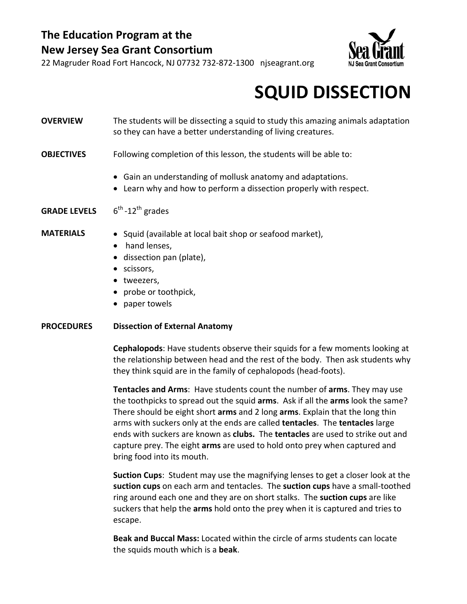### **The Education Program at the New Jersey Sea Grant Consortium**

22 Magruder Road Fort Hancock, NJ 07732 732‐872‐1300 njseagrant.org



## **SQUID DISSECTION**

### **OVERVIEW** The students will be dissecting a squid to study this amazing animals adaptation so they can have a better understanding of living creatures.

- **OBJECTIVES** Following completion of this lesson, the students will be able to:
	- Gain an understanding of mollusk anatomy and adaptations.
	- Learn why and how to perform a dissection properly with respect.
- **GRADE LEVELS** 6<sup>th</sup> -12<sup>th</sup> grades

- **MATERIALS** Squid (available at local bait shop or seafood market),
	- hand lenses,
	- dissection pan (plate),
	- scissors,
	- tweezers,
	- probe or toothpick,
	- paper towels

#### **PROCEDURES Dissection of External Anatomy**

**Cephalopods**: Have students observe their squids for a few moments looking at the relationship between head and the rest of the body. Then ask students why they think squid are in the family of cephalopods (head‐foots).

**Tentacles and Arms**: Have students count the number of **arms**. They may use the toothpicks to spread out the squid **arms**. Ask if all the **arms** look the same? There should be eight short **arms** and 2 long **arms**. Explain that the long thin arms with suckers only at the ends are called **tentacles**. The **tentacles** large ends with suckers are known as **clubs.** The **tentacles** are used to strike out and capture prey. The eight **arms** are used to hold onto prey when captured and bring food into its mouth.

**Suction Cups**: Student may use the magnifying lenses to get a closer look at the **suction cups** on each arm and tentacles. The **suction cups** have a small‐toothed ring around each one and they are on short stalks. The **suction cups** are like suckers that help the **arms** hold onto the prey when it is captured and tries to escape.

**Beak and Buccal Mass:** Located within the circle of arms students can locate the squids mouth which is a **beak**.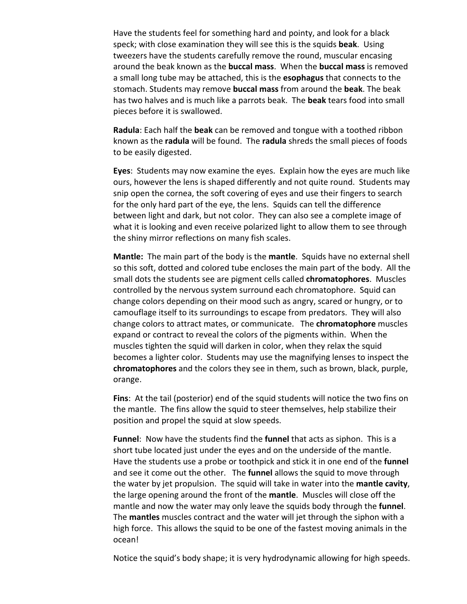Have the students feel for something hard and pointy, and look for a black speck; with close examination they will see this is the squids **beak**. Using tweezers have the students carefully remove the round, muscular encasing around the beak known as the **buccal mass**. When the **buccal mass** is removed a small long tube may be attached, this is the **esophagus** that connects to the stomach. Students may remove **buccal mass** from around the **beak**. The beak has two halves and is much like a parrots beak. The **beak** tears food into small pieces before it is swallowed.

**Radula**: Each half the **beak** can be removed and tongue with a toothed ribbon known as the **radula** will be found. The **radula** shreds the small pieces of foods to be easily digested.

**Eyes**: Students may now examine the eyes. Explain how the eyes are much like ours, however the lens is shaped differently and not quite round. Students may snip open the cornea, the soft covering of eyes and use their fingers to search for the only hard part of the eye, the lens. Squids can tell the difference between light and dark, but not color. They can also see a complete image of what it is looking and even receive polarized light to allow them to see through the shiny mirror reflections on many fish scales.

**Mantle:** The main part of the body is the **mantle**. Squids have no external shell so this soft, dotted and colored tube encloses the main part of the body. All the small dots the students see are pigment cells called **chromatophores**. Muscles controlled by the nervous system surround each chromatophore. Squid can change colors depending on their mood such as angry, scared or hungry, or to camouflage itself to its surroundings to escape from predators. They will also change colors to attract mates, or communicate. The **chromatophore** muscles expand or contract to reveal the colors of the pigments within. When the muscles tighten the squid will darken in color, when they relax the squid becomes a lighter color. Students may use the magnifying lenses to inspect the **chromatophores** and the colors they see in them, such as brown, black, purple, orange.

**Fins**: At the tail (posterior) end of the squid students will notice the two fins on the mantle. The fins allow the squid to steer themselves, help stabilize their position and propel the squid at slow speeds.

**Funnel**: Now have the students find the **funnel** that acts as siphon. This is a short tube located just under the eyes and on the underside of the mantle. Have the students use a probe or toothpick and stick it in one end of the **funnel** and see it come out the other. The **funnel** allows the squid to move through the water by jet propulsion. The squid will take in water into the **mantle cavity**, the large opening around the front of the **mantle**. Muscles will close off the mantle and now the water may only leave the squids body through the **funnel**. The **mantles** muscles contract and the water will jet through the siphon with a high force. This allows the squid to be one of the fastest moving animals in the ocean!

Notice the squid's body shape; it is very hydrodynamic allowing for high speeds.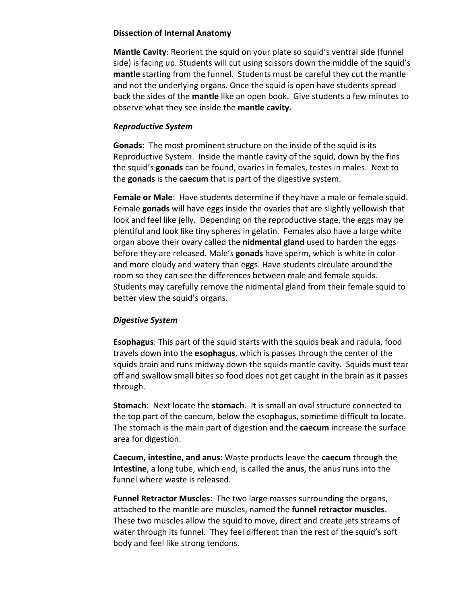#### **Dissection of Internal Anatomy**

**Mantle Cavity**: Reorient the squid on your plate so squid's ventral side (funnel side) is facing up. Students will cut using scissors down the middle of the squid's **mantle** starting from the funnel. Students must be careful they cut the mantle and not the underlying organs. Once the squid is open have students spread back the sides of the **mantle** like an open book. Give students a few minutes to observe what they see inside the **mantle cavity.**

#### *Reproductive System*

**Gonads:** The most prominent structure on the inside of the squid is its Reproductive System. Inside the mantle cavity of the squid, down by the fins the squid's **gonads** can be found, ovaries in females, testes in males. Next to the **gonads** is the **caecum** that is part of the digestive system.

**Female or Male**: Have students determine if they have a male or female squid. Female **gonads** will have eggs inside the ovaries that are slightly yellowish that look and feel like jelly. Depending on the reproductive stage, the eggs may be plentiful and look like tiny spheres in gelatin. Females also have a large white organ above their ovary called the **nidmental gland** used to harden the eggs before they are released. Male's **gonads** have sperm, which is white in color and more cloudy and watery than eggs. Have students circulate around the room so they can see the differences between male and female squids. Students may carefully remove the nidmental gland from their female squid to better view the squid's organs.

#### *Digestive System*

**Esophagus**: This part of the squid starts with the squids beak and radula, food travels down into the **esophagus**, which is passes through the center of the squids brain and runs midway down the squids mantle cavity. Squids must tear off and swallow small bites so food does not get caught in the brain as it passes through.

**Stomach**: Next locate the **stomach**. It is small an oval structure connected to the top part of the caecum, below the esophagus, sometime difficult to locate. The stomach is the main part of digestion and the **caecum** increase the surface area for digestion.

**Caecum, intestine, and anus**: Waste products leave the **caecum** through the **intestine**, a long tube, which end, is called the **anus**, the anus runs into the funnel where waste is released.

**Funnel Retractor Muscles**: The two large masses surrounding the organs, attached to the mantle are muscles, named the **funnel retractor muscles**. These two muscles allow the squid to move, direct and create jets streams of water through its funnel. They feel different than the rest of the squid's soft body and feel like strong tendons.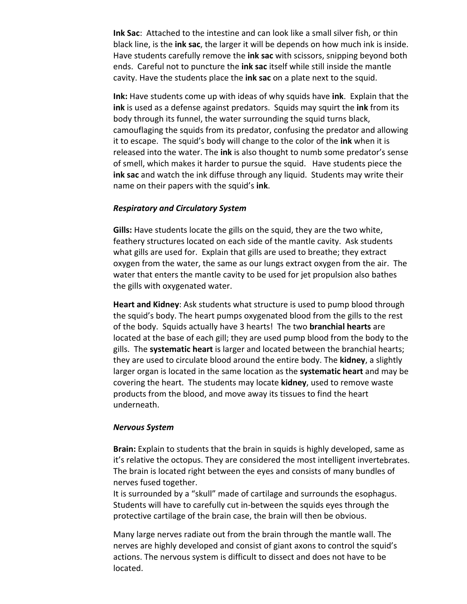**Ink Sac**: Attached to the intestine and can look like a small silver fish, or thin black line, is the **ink sac**, the larger it will be depends on how much ink is inside. Have students carefully remove the **ink sac** with scissors, snipping beyond both ends. Careful not to puncture the **ink sac** itself while still inside the mantle cavity. Have the students place the **ink sac** on a plate next to the squid.

**Ink:** Have students come up with ideas of why squids have **ink**. Explain that the **ink** is used as a defense against predators. Squids may squirt the **ink** from its body through its funnel, the water surrounding the squid turns black, camouflaging the squids from its predator, confusing the predator and allowing it to escape. The squid's body will change to the color of the **ink** when it is released into the water. The **ink** is also thought to numb some predator's sense of smell, which makes it harder to pursue the squid. Have students piece the **ink sac** and watch the ink diffuse through any liquid. Students may write their name on their papers with the squid's **ink**.

#### *Respiratory and Circulatory System*

**Gills:** Have students locate the gills on the squid, they are the two white, feathery structures located on each side of the mantle cavity. Ask students what gills are used for. Explain that gills are used to breathe; they extract oxygen from the water, the same as our lungs extract oxygen from the air. The water that enters the mantle cavity to be used for jet propulsion also bathes the gills with oxygenated water.

**Heart and Kidney**: Ask students what structure is used to pump blood through the squid's body. The heart pumps oxygenated blood from the gills to the rest of the body. Squids actually have 3 hearts! The two **branchial hearts** are located at the base of each gill; they are used pump blood from the body to the gills. The **systematic heart** is larger and located between the branchial hearts; they are used to circulate blood around the entire body. The **kidney**, a slightly larger organ is located in the same location as the **systematic heart** and may be covering the heart. The students may locate **kidney**, used to remove waste products from the blood, and move away its tissues to find the heart underneath.

#### *Nervous System*

**Brain:** Explain to students that the brain in squids is highly developed, same as it's relative the octopus. They are considered the most intelligent invertebrates. The brain is located right between the eyes and consists of many bundles of nerves fused together.

It is surrounded by a "skull" made of cartilage and surrounds the esophagus. Students will have to carefully cut in‐between the squids eyes through the protective cartilage of the brain case, the brain will then be obvious.

Many large nerves radiate out from the brain through the mantle wall. The nerves are highly developed and consist of giant axons to control the squid's actions. The nervous system is difficult to dissect and does not have to be located.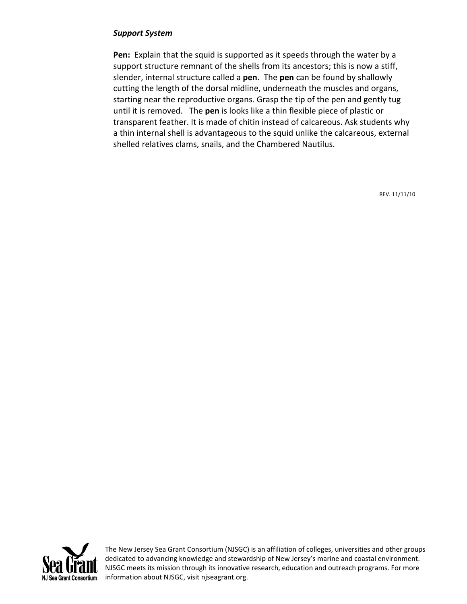#### *Support System*

**Pen:** Explain that the squid is supported as it speeds through the water by a support structure remnant of the shells from its ancestors; this is now a stiff, slender, internal structure called a **pen**. The **pen** can be found by shallowly cutting the length of the dorsal midline, underneath the muscles and organs, starting near the reproductive organs. Grasp the tip of the pen and gently tug until it is removed. The **pen** is looks like a thin flexible piece of plastic or transparent feather. It is made of chitin instead of calcareous. Ask students why a thin internal shell is advantageous to the squid unlike the calcareous, external shelled relatives clams, snails, and the Chambered Nautilus.

REV. 11/11/10



The New Jersey Sea Grant Consortium (NJSGC) is an affiliation of colleges, universities and other groups dedicated to advancing knowledge and stewardship of New Jersey's marine and coastal environment. NJSGC meets its mission through its innovative research, education and outreach programs. For more information about NJSGC, visit njseagrant.org.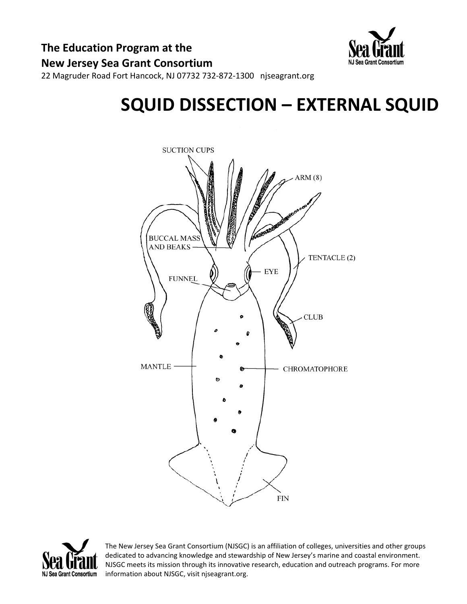

22 Magruder Road Fort Hancock, NJ 07732 732‐872‐1300 njseagrant.org

# **SQUID DISSECTION – EXTERNAL SQUID**





The New Jersey Sea Grant Consortium (NJSGC) is an affiliation of colleges, universities and other groups dedicated to advancing knowledge and stewardship of New Jersey's marine and coastal environment. NJSGC meets its mission through its innovative research, education and outreach programs. For more information about NJSGC, visit njseagrant.org.